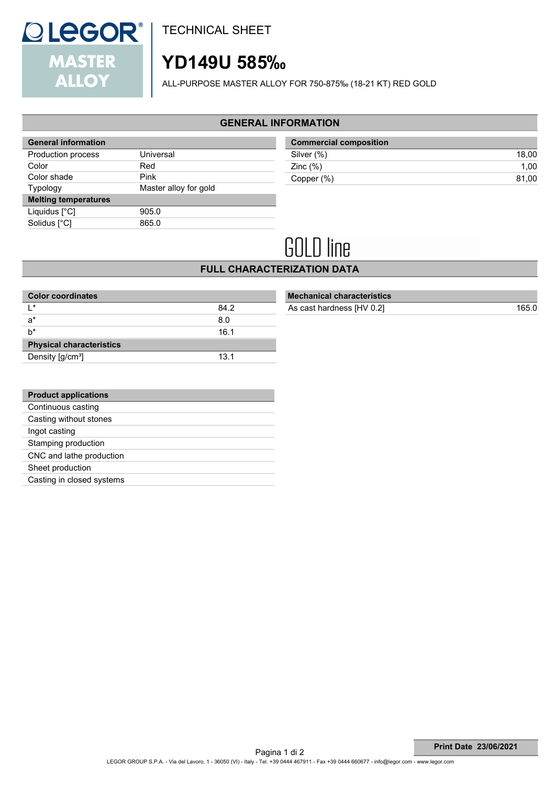

TECHNICAL SHEET

## **YD149U 585‰**

ALL-PURPOSE MASTER ALLOY FOR 750-875‰ (18-21 KT) RED GOLD

#### **GENERAL INFORMATION**

| <b>General information</b>  |                       |
|-----------------------------|-----------------------|
| Production process          | Universal             |
| Color                       | Red                   |
| Color shade                 | Pink                  |
| <b>Typology</b>             | Master alloy for gold |
| <b>Melting temperatures</b> |                       |
| Liquidus [°C]               | 905.0                 |
| Solidus [°C]                | 865.0                 |
|                             |                       |

| <b>Commercial composition</b> |       |  |
|-------------------------------|-------|--|
| Silver (%)                    | 18.00 |  |
| Zinc $(\%)$                   | 1.00  |  |
| Copper (%)                    | 81.00 |  |

# **GOLD** line

**FULL CHARACTERIZATION DATA**

| <b>Color coordinates</b>        |      |  |  |
|---------------------------------|------|--|--|
| $\mathsf{I}$ *                  | 84.2 |  |  |
| $a^*$                           | 8.0  |  |  |
| h*                              | 16.1 |  |  |
| <b>Physical characteristics</b> |      |  |  |
| Density [g/cm <sup>3</sup> ]    | 13.1 |  |  |

| <b>Mechanical characteristics</b> |       |
|-----------------------------------|-------|
| As cast hardness [HV 0.2]         | 165.0 |
|                                   |       |

| <b>Product applications</b> |
|-----------------------------|
| Continuous casting          |
| Casting without stones      |
| Ingot casting               |
| Stamping production         |
| CNC and lathe production    |
| Sheet production            |
| Casting in closed systems   |
|                             |